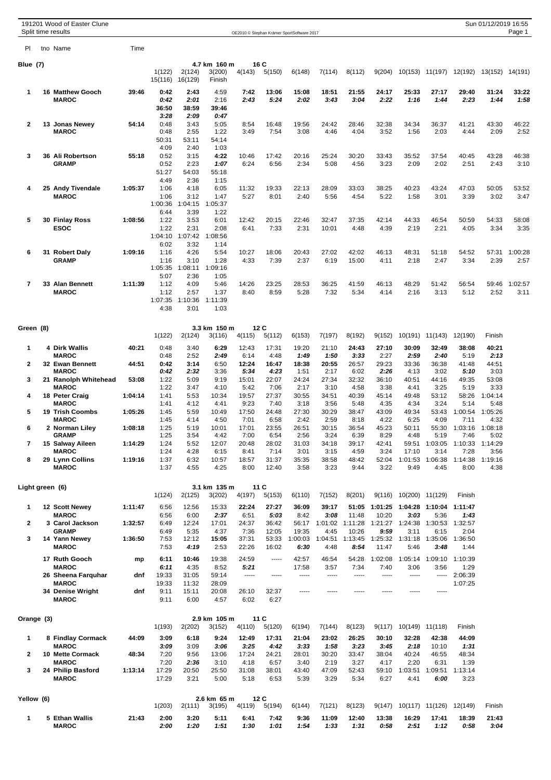|                   | 191201 Wood of Easter Clune<br>Split time results              |                  |                                       |                                       |                                       |                        |                                  | OE2010 © Stephan Krämer SportSoftware 2017 |                         |                          |                          |                                            |                                  |                            | Sun 01/12/2019 16:55    | Page 1          |
|-------------------|----------------------------------------------------------------|------------------|---------------------------------------|---------------------------------------|---------------------------------------|------------------------|----------------------------------|--------------------------------------------|-------------------------|--------------------------|--------------------------|--------------------------------------------|----------------------------------|----------------------------|-------------------------|-----------------|
| PI                | tno Name                                                       | Time             |                                       |                                       |                                       |                        |                                  |                                            |                         |                          |                          |                                            |                                  |                            |                         |                 |
| Blue (7)          |                                                                |                  | 1(122)<br>15(116)                     | 2(124)<br>16(129)                     | 4.7 km 160 m<br>3(200)<br>Finish      | 4(143)                 | 16 C<br>5(150)                   | 6(148)                                     | 7(114)                  | 8(112)                   | 9(204)                   |                                            | 10(153) 11(197)                  | 12(192)                    | 13(152)                 | 14(191)         |
| 1                 | <b>16 Matthew Gooch</b><br><b>MAROC</b>                        | 39:46            | 0:42<br>0:42<br>36:50                 | 2:43<br>2:01<br>38:59                 | 4:59<br>2:16<br>39:46                 | 7:42<br>2:43           | 13:06<br>5:24                    | 15:08<br>2:02                              | 18:51<br>3:43           | 21:55<br>3:04            | 24:17<br>2:22            | 25:33<br>1:16                              | 27:17<br>1:44                    | 29:40<br>2:23              | 31:24<br>1:44           | 33:22<br>1:58   |
| 2                 | 13 Jonas Newey<br><b>MAROC</b>                                 | 54:14            | 3:28<br>0:48<br>0:48<br>50:31         | 2:09<br>3:43<br>2:55<br>53:11         | 0:47<br>5:05<br>1:22<br>54:14         | 8:54<br>3:49           | 16:48<br>7:54                    | 19:56<br>3:08                              | 24:42<br>4:46           | 28:46<br>4:04            | 32:38<br>3:52            | 34:34<br>1:56                              | 36:37<br>2:03                    | 41:21<br>4:44              | 43:30<br>2:09           | 46:22<br>2:52   |
| 3                 | 36 Ali Robertson<br><b>GRAMP</b>                               | 55:18            | 4:09<br>0:52<br>0:52<br>51:27<br>4:49 | 2:40<br>3:15<br>2:23<br>54:03<br>2:36 | 1:03<br>4:22<br>1:07<br>55:18<br>1:15 | 10:46<br>6:24          | 17:42<br>6:56                    | 20:16<br>2:34                              | 25:24<br>5:08           | 30:20<br>4:56            | 33:43<br>3:23            | 35:52<br>2:09                              | 37:54<br>2:02                    | 40:45<br>2:51              | 43:28<br>2:43           | 46:38<br>3:10   |
| 4                 | 25 Andy Tivendale<br><b>MAROC</b>                              | 1:05:37          | 1:06<br>1:06<br>1:00:36<br>6:44       | 4:18<br>3:12<br>1:04:15<br>3:39       | 6:05<br>1:47<br>1:05:37<br>1:22       | 11:32<br>5:27          | 19:33<br>8:01                    | 22:13<br>2:40                              | 28:09<br>5:56           | 33:03<br>4:54            | 38:25<br>5:22            | 40:23<br>1:58                              | 43:24<br>3:01                    | 47:03<br>3:39              | 50:05<br>3:02           | 53:52<br>3:47   |
| 5                 | 30 Finlay Ross<br><b>ESOC</b>                                  | 1:08:56          | 1:22<br>1:22<br>1:04:10<br>6:02       | 3:53<br>2:31<br>1:07:42<br>3:32       | 6:01<br>2:08<br>1:08:56<br>1:14       | 12:42<br>6:41          | 20:15<br>7:33                    | 22:46<br>2:31                              | 32:47<br>10:01          | 37:35<br>4:48            | 42:14<br>4:39            | 44:33<br>2:19                              | 46:54<br>2:21                    | 50:59<br>4:05              | 54:33<br>3:34           | 58:08<br>3:35   |
| 6                 | 31 Robert Daly<br><b>GRAMP</b>                                 | 1:09:16          | 1:16<br>1:16<br>1:05:35<br>5:07       | 4:26<br>3:10<br>1:08:11<br>2:36       | 5:54<br>1:28<br>1:09:16<br>1:05       | 10:27<br>4:33          | 18:06<br>7:39                    | 20:43<br>2:37                              | 27:02<br>6:19           | 42:02<br>15:00           | 46:13<br>4:11            | 48:31<br>2:18                              | 51:18<br>2:47                    | 54:52<br>3:34              | 57:31<br>2:39           | 1:00:28<br>2:57 |
| $\overline{7}$    | 33 Alan Bennett<br><b>MAROC</b>                                | 1:11:39          | 1:12<br>1:12<br>1:07:35<br>4:38       | 4:09<br>2:57<br>1:10:36<br>3:01       | 5:46<br>1:37<br>1:11:39<br>1:03       | 14:26<br>8:40          | 23:25<br>8:59                    | 28:53<br>5:28                              | 36:25<br>7:32           | 41:59<br>5:34            | 46:13<br>4:14            | 48:29<br>2:16                              | 51:42<br>3:13                    | 56:54<br>5:12              | 59:46<br>2:52           | 1:02:57<br>3:11 |
| Green (8)         |                                                                |                  |                                       |                                       | 3.3 km 150 m                          |                        | 12C                              |                                            |                         |                          |                          |                                            |                                  |                            |                         |                 |
| 1                 | 4 Dirk Wallis                                                  | 40:21            | 1(122)<br>0:48                        | 2(124)<br>3:40                        | 3(116)<br>6:29                        | 4(115)<br>12:43        | 5(112)<br>17:31                  | 6(153)<br>19:20                            | 7(197)<br>21:10         | 8(192)<br>24:43          | 9(152)<br>27:10          | 30:09                                      | 10(191) 11(143)<br>32:49         | 12(190)<br>38:08           | Finish<br>40:21         |                 |
| $\mathbf{2}$      | <b>MAROC</b><br>32 Ewan Bennett                                | 44:51            | 0:48<br>0:42                          | 2:52<br>3:14                          | 2:49<br>6:50                          | 6:14<br>12:24          | 4:48<br>16:47                    | 1:49<br>18:38                              | 1:50<br>20:55           | 3:33<br>26:57            | 2:27<br>29:23            | 2:59<br>33:36                              | 2:40<br>36:38                    | 5:19<br>41:48              | 2:13<br>44:51           |                 |
| 3                 | <b>MAROC</b><br>21 Ranolph Whitehead                           | 53:08            | 0:42<br>1:22                          | 2:32<br>5:09                          | 3:36<br>9:19                          | 5:34<br>15:01          | 4:23<br>22:07                    | 1:51<br>24:24                              | 2:17<br>27:34           | 6:02<br>32:32            | 2:26<br>36:10            | 4:13<br>40:51                              | 3:02<br>44:16                    | 5:10<br>49:35              | 3:03<br>53:08           |                 |
| 4                 | <b>MAROC</b><br>18 Peter Craig                                 | 1:04:14          | 1:22<br>1:41                          | 3:47<br>5:53                          | 4:10<br>10:34                         | 5:42<br>19:57          | 7:06<br>27:37                    | 2:17<br>30:55                              | 3:10<br>34:51           | 4:58<br>40:39            | 3:38<br>45:14            | 4:41<br>49:48                              | 3:25<br>53:12                    | 5:19<br>58:26              | 3:33<br>1:04:14         |                 |
| 5                 | <b>MAROC</b><br>19 Trish Coombs                                | 1:05:26          | 1:41<br>1:45                          | 4:12<br>5:59                          | 4:41<br>10:49                         | 9:23<br>17:50          | 7:40<br>24:48                    | 3:18<br>27:30                              | 3:56<br>30:29           | 5:48<br>38:47            | 4:35<br>43:09            | 4:34<br>49:34                              | 3:24<br>53:43                    | 5:14<br>1:00:54            | 5:48<br>1:05:26         |                 |
| 6                 | <b>MAROC</b><br>2 Norman Liley                                 | 1:08:18          | 1:45<br>1:25                          | 4:14<br>5:19                          | 4:50<br>10:01                         | 7:01<br>17:01          | 6:58<br>23:55                    | 2:42<br>26:51                              | 2:59<br>30:15           | 8:18<br>36:54            | 4:22<br>45:23            | 6:25<br>50:11                              | 4:09<br>55:30                    | 7:11<br>1:03:16            | 4:32<br>1:08:18         |                 |
| 7                 | <b>GRAMP</b><br>15 Salway Aileen                               | 1:14:29          | 1:25<br>1:24                          | 3:54<br>5:52                          | 4:42<br>12:07                         | 7:00<br>20:48          | 6:54<br>28:02                    | 2:56<br>31:03                              | 3:24<br>34:18           | 6:39<br>39:17            | 8:29<br>42:41            | 4:48<br>59:51                              | 5:19<br>1:03:05<br>3:14          | 7:46<br>1:10:33            | 5:02<br>1:14:29<br>3:56 |                 |
| 8                 | <b>MAROC</b><br>29 Lynn Collins<br><b>MAROC</b>                | 1:19:16          | 1:24<br>1:37<br>1:37                  | 4:28<br>6:32<br>4:55                  | 6:15<br>10:57<br>4:25                 | 8:41<br>18:57<br>8:00  | 7:14<br>31:37<br>12:40           | 3:01<br>35:35<br>3:58                      | 3:15<br>38:58<br>3:23   | 4:59<br>48:42<br>9:44    | 3:24<br>52:04<br>3:22    | 17:10<br>1:01:53<br>9:49                   | 1:06:38<br>4:45                  | 7:28<br>1:14:38<br>8:00    | 1:19:16<br>4:38         |                 |
| Light green (6)   |                                                                |                  | 1(124)                                | 2(125)                                | 3.1 km 135 m<br>3(202)                | 4(197)                 | 11 C<br>5(153)                   | 6(110)                                     | 7(152)                  | 8(201)                   | 9(116)                   | 10(200) 11(129)                            |                                  | Finish                     |                         |                 |
| 1                 | 12 Scott Newey                                                 | 1:11:47          | 6:56                                  | 12:56                                 | 15:33                                 | 22:24                  | 27:27                            | 36:09                                      | 39:17                   | 51:05                    | 1:01:25                  |                                            | 1:04:28 1:10:04                  | 1:11:47                    |                         |                 |
| 2                 | <b>MAROC</b><br>3 Carol Jackson                                | 1:32:57          | 6:56<br>6:49                          | 6:00<br>12:24                         | 2:37<br>17:01                         | 6:51<br>24:37          | 5:03<br>36:42                    | 8:42                                       | 3:08<br>56:17 1:01:02   | 11:48<br>1:11:28         | 10:20                    | 3:03<br>1:21:27  1:24:38  1:30:53  1:32:57 | 5:36                             | 1:43                       |                         |                 |
| 3                 | <b>GRAMP</b><br>14 Yann Newey<br><b>MAROC</b><br>17 Ruth Gooch | 1:36:50          | 6:49<br>7:53<br>7:53                  | 5:35<br>12:12<br>4:19                 | 4:37<br>15:05<br>2:53                 | 7:36<br>37:31<br>22:26 | 12:05<br>53:33<br>16:02<br>----- | 19:35<br>1:00:03<br>6:30                   | 4:45<br>1:04:51<br>4:48 | 10:26<br>1:13:45<br>8:54 | 9:59<br>1:25:32<br>11:47 | 3:11<br>5:46                               | 6:15<br>1:31:18 1:35:06<br>3:48  | 2:04<br>1:36:50<br>1:44    |                         |                 |
|                   | <b>MAROC</b><br>26 Sheena Farquhar                             | mp<br>dnf        | 6:11<br>6:11<br>19:33                 | 10:46<br>4:35<br>31:05                | 19:38<br>8:52<br>59:14                | 24:59<br>5:21<br>----- | -----                            | 42:57<br>17:58<br>-----                    | 46:54<br>3:57<br>-----  | 54:28<br>7:34<br>-----   | 1:02:08<br>7:40<br>----- | 3:06<br>-----                              | 1:05:14 1:09:10<br>3:56<br>----- | 1:10:39<br>1:29<br>2:06:39 |                         |                 |
|                   | <b>MAROC</b><br>34 Denise Wright<br><b>MAROC</b>               | dnf              | 19:33<br>9:11<br>9:11                 | 11:32<br>15:11<br>6:00                | 28:09<br>20:08<br>4:57                | 26:10<br>6:02          | 32:37<br>6:27                    | $- - - - -$                                | -----                   | -----                    | -----                    | -----                                      | -----                            | 1:07:25                    |                         |                 |
| Orange (3)        |                                                                |                  | 1(193)                                | 2(202)                                | 2.9 km 105 m<br>3(152)                | 4(110)                 | 11 C<br>5(120)                   | 6(194)                                     | 7(144)                  | 8(123)                   | 9(117)                   | 10(149) 11(118)                            |                                  | Finish                     |                         |                 |
| 1                 | 8 Findlay Cormack<br><b>MAROC</b>                              | 44:09            | 3:09<br>3:09                          | 6:18<br>3:09                          | 9:24<br>3:06                          | 12:49<br>3:25          | 17:31<br>4:42                    | 21:04<br>3:33                              | 23:02<br>1:58           | 26:25<br>3:23            | 30:10<br>3:45            | 32:28<br>2:18                              | 42:38<br>10:10                   | 44:09<br>1:31              |                         |                 |
| $\mathbf{2}$<br>3 | 10 Mette Cormack<br><b>MAROC</b><br>24 Philip Basford          | 48:34<br>1:13:14 | 7:20<br>7:20<br>17:29                 | 9:56<br>2:36<br>20:50                 | 13:06<br>3:10<br>25:50                | 17:24<br>4:18<br>31:08 | 24:21<br>6:57<br>38:01           | 28:01<br>3:40<br>43:40                     | 30:20<br>2:19<br>47:09  | 33:47<br>3:27<br>52:43   | 38:04<br>4:17<br>59:10   | 40:24<br>2:20<br>1:03:51                   | 46:55<br>6:31<br>1:09:51         | 48:34<br>1:39<br>1:13:14   |                         |                 |
|                   | <b>MAROC</b>                                                   |                  | 17:29                                 | 3:21                                  | 5:00                                  | 5:18                   | 6:53                             | 5:39                                       | 3:29                    | 5:34                     | 6:27                     | 4:41                                       | 6:00                             | 3:23                       |                         |                 |
| Yellow (6)        |                                                                |                  | 1(203)                                | 2(111)                                | 2.6 km 65 m<br>3(195)                 | 4(119)                 | 12C<br>5(194)                    | 6(144)                                     | 7(121)                  | 8(123)                   | 9(147)                   |                                            | 10(117) 11(126)                  | 12(149)                    | Finish                  |                 |
| 1                 | 5 Ethan Wallis<br><b>MAROC</b>                                 | 21:43            | 2:00<br>2:00                          | 3:20<br>1:20                          | 5:11<br>1:51                          | 6:41<br>1:30           | 7:42<br>1:01                     | 9:36<br>1:54                               | 11:09<br>1:33           | 12:40<br>1:31            | 13:38<br>0:58            | 16:29<br>2:51                              | 17:41<br>1:12                    | 18:39<br>0:58              | 21:43<br>3:04           |                 |